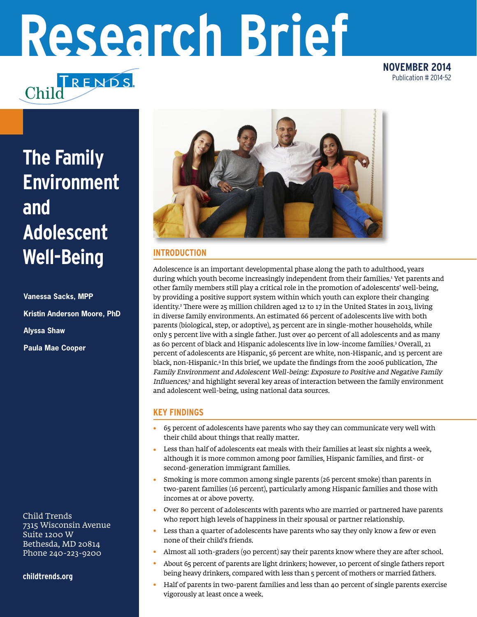# **Research Brief**

TRENDS. Chilc

**NOVEMBER 2014** Publication # 2014-52

# **The Family Environment and Adolescent Well-Being**

**Vanessa Sacks, MPP Kristin Anderson Moore, PhD Alyssa Shaw Paula Mae Cooper**

Child Trends 7315 Wisconsin Avenue Suite 1200 W Bethesda, MD 20814 Phone 240-223-9200

**childtrends.org**



## **INTRODUCTION**

Adolescence is an important developmental phase along the path to adulthood, years during which youth become increasingly independent from their families.<sup>1</sup> Yet parents and other family members still play a critical role in the promotion of adolescents' well-being, by providing a positive support system within which youth can explore their changing identity.2 There were 25 million children aged 12 to 17 in the United States in 2013, living in diverse family environments. An estimated 66 percent of adolescents live with both parents (biological, step, or adoptive), 25 percent are in single-mother households, while only 5 percent live with a single father. Just over 40 percent of all adolescents and as many as 60 percent of black and Hispanic adolescents live in low-income families.3 Overall, 21 percent of adolescents are Hispanic, 56 percent are white, non-Hispanic, and 15 percent are black, non-Hispanic.4 In this brief, we update the findings from the 2006 publication, The Family Environment and Adolescent Well-being: Exposure to Positive and Negative Family Influences, 5 and highlight several key areas of interaction between the family environment and adolescent well-being, using national data sources.

## **KEY FINDINGS**

- 65 percent of adolescents have parents who say they can communicate very well with their child about things that really matter. •
- Less than half of adolescents eat meals with their families at least six nights a week, although it is more common among poor families, Hispanic families, and first- or second-generation immigrant families. •
- Smoking is more common among single parents (26 percent smoke) than parents in two-parent families (16 percent), particularly among Hispanic families and those with incomes at or above poverty. •
- Over 80 percent of adolescents with parents who are married or partnered have parents who report high levels of happiness in their spousal or partner relationship. •
- Less than a quarter of adolescents have parents who say they only know a few or even none of their child's friends. •
- Almost all 10th-graders (90 percent) say their parents know where they are after school. •
- About 65 percent of parents are light drinkers; however, 10 percent of single fathers report being heavy drinkers, compared with less than 5 percent of mothers or married fathers. •
- Half of parents in two-parent families and less than 40 percent of single parents exercise vigorously at least once a week. •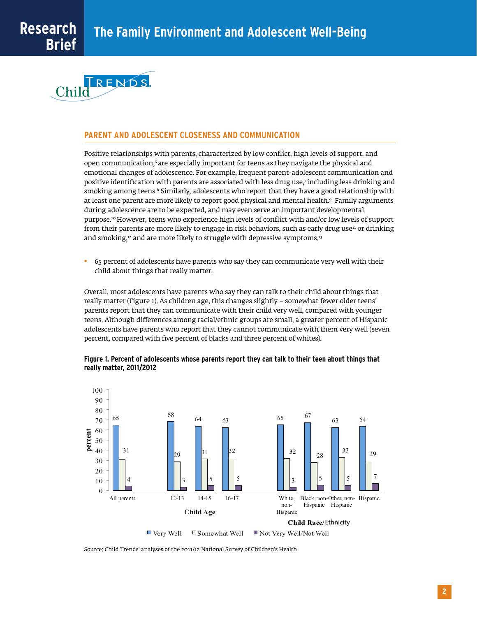

#### **PARENT AND ADOLESCENT CLOSENESS AND COMMUNICATION**

Positive relationships with parents, characterized by low conflict, high levels of support, and open communication,<sup>6</sup> are especially important for teens as they navigate the physical and emotional changes of adolescence. For example, frequent parent-adolescent communication and positive identification with parents are associated with less drug use,7 including less drinking and smoking among teens.<sup>8</sup> Similarly, adolescents who report that they have a good relationship with at least one parent are more likely to report good physical and mental health.9 Family arguments during adolescence are to be expected, and may even serve an important developmental purpose.10 However, teens who experience high levels of conflict with and/or low levels of support from their parents are more likely to engage in risk behaviors, such as early drug use<sup>11</sup> or drinking and smoking, $12$  and are more likely to struggle with depressive symptoms.<sup>13</sup>

65 percent of adolescents have parents who say they can communicate very well with their child about things that really matter. •

Overall, most adolescents have parents who say they can talk to their child about things that really matter (Figure 1). As children age, this changes slightly – somewhat fewer older teens' parents report that they can communicate with their child very well, compared with younger teens. Although differences among racial/ethnic groups are small, a greater percent of Hispanic adolescents have parents who report that they cannot communicate with them very well (seven percent, compared with five percent of blacks and three percent of whites).





Source: Child Trends' analyses of the 2011/12 National Survey of Children's Health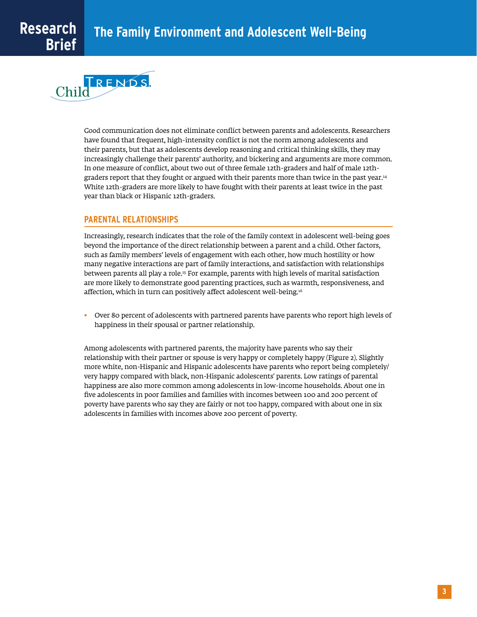

Good communication does not eliminate conflict between parents and adolescents. Researchers have found that frequent, high-intensity conflict is not the norm among adolescents and their parents, but that as adolescents develop reasoning and critical thinking skills, they may increasingly challenge their parents' authority, and bickering and arguments are more common. In one measure of conflict, about two out of three female 12th-graders and half of male 12thgraders report that they fought or argued with their parents more than twice in the past year.<sup>14</sup> White 12th-graders are more likely to have fought with their parents at least twice in the past year than black or Hispanic 12th-graders.

#### **PARENTAL RELATIONSHIPS**

Increasingly, research indicates that the role of the family context in adolescent well-being goes beyond the importance of the direct relationship between a parent and a child. Other factors, such as family members' levels of engagement with each other, how much hostility or how many negative interactions are part of family interactions, and satisfaction with relationships between parents all play a role.15 For example, parents with high levels of marital satisfaction are more likely to demonstrate good parenting practices, such as warmth, responsiveness, and affection, which in turn can positively affect adolescent well-being.16

 $\bullet$  Over 80 percent of adolescents with partnered parents have parents who report high levels of happiness in their spousal or partner relationship.

Among adolescents with partnered parents, the majority have parents who say their relationship with their partner or spouse is very happy or completely happy (Figure 2). Slightly more white, non-Hispanic and Hispanic adolescents have parents who report being completely/ very happy compared with black, non-Hispanic adolescents' parents. Low ratings of parental happiness are also more common among adolescents in low-income households. About one in five adolescents in poor families and families with incomes between 100 and 200 percent of poverty have parents who say they are fairly or not too happy, compared with about one in six adolescents in families with incomes above 200 percent of poverty.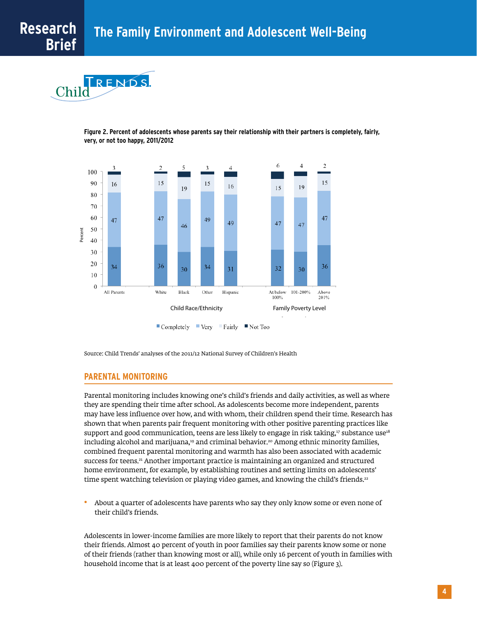$R$   $F$   $N$ D $S$ Chilc

> **Figure 2. Percent of adolescents whose parents say their relationship with their partners is completely, fairly, very, or not too happy, 2011/2012**



Source: Child Trends' analyses of the 2011/12 National Survey of Children's Health

#### **PARENTAL MONITORING**

Parental monitoring includes knowing one's child's friends and daily activities, as well as where they are spending their time after school. As adolescents become more independent, parents may have less influence over how, and with whom, their children spend their time. Research has shown that when parents pair frequent monitoring with other positive parenting practices like support and good communication, teens are less likely to engage in risk taking,<sup>17</sup> substance use<sup>18</sup> including alcohol and marijuana,<sup>19</sup> and criminal behavior.<sup>20</sup> Among ethnic minority families, combined frequent parental monitoring and warmth has also been associated with academic success for teens.<sup>21</sup> Another important practice is maintaining an organized and structured home environment, for example, by establishing routines and setting limits on adolescents' time spent watching television or playing video games, and knowing the child's friends.<sup>22</sup>

About a quarter of adolescents have parents who say they only know some or even none of their child's friends. •

Adolescents in lower-income families are more likely to report that their parents do not know their friends. Almost 40 percent of youth in poor families say their parents know some or none of their friends (rather than knowing most or all), while only 16 percent of youth in families with household income that is at least 400 percent of the poverty line say so (Figure 3).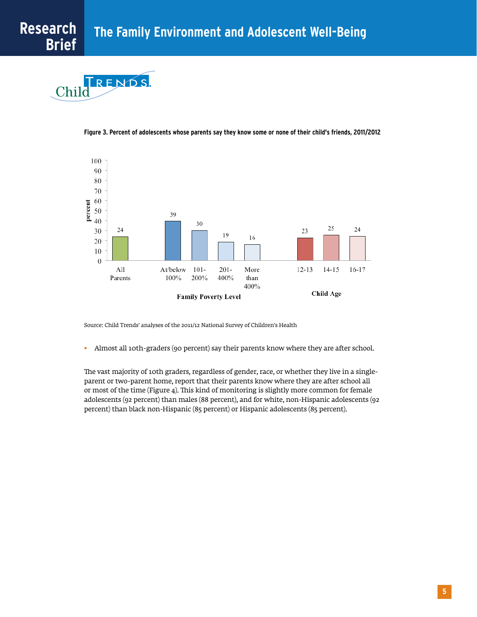



**Figure 3. Percent of adolescents whose parents say they know some or none of their child's friends, 2011/2012**

Source: Child Trends' analyses of the 2011/12 National Survey of Children's Health

Almost all 10th-graders (90 percent) say their parents know where they are after school. •

The vast majority of 10th graders, regardless of gender, race, or whether they live in a singleparent or two-parent home, report that their parents know where they are after school all or most of the time (Figure 4). This kind of monitoring is slightly more common for female adolescents (92 percent) than males (88 percent), and for white, non-Hispanic adolescents (92 percent) than black non-Hispanic (85 percent) or Hispanic adolescents (85 percent).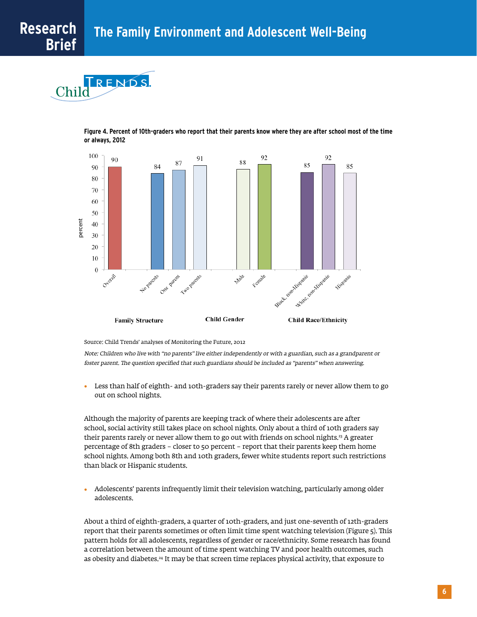$R$  F N D S  $\mathbb{C}\mathrm{hil}\bar{\mathrm{C}}$ 





Source: Child Trends' analyses of Monitoring the Future, 2012

Note: Children who live with "no parents" live either independently or with a guardian, such as a grandparent or foster parent. The question specified that such guardians should be included as "parents" when answering.

Less than half of eighth- and 10th-graders say their parents rarely or never allow them to go out on school nights. •

Although the majority of parents are keeping track of where their adolescents are after school, social activity still takes place on school nights. Only about a third of 10th graders say their parents rarely or never allow them to go out with friends on school nights.<sup>23</sup> A greater percentage of 8th graders – closer to 50 percent – report that their parents keep them home school nights. Among both 8th and 10th graders, fewer white students report such restrictions than black or Hispanic students.

Adolescents' parents infrequently limit their television watching, particularly among older adolescents. •

About a third of eighth-graders, a quarter of 10th-graders, and just one-seventh of 12th-graders report that their parents sometimes or often limit time spent watching television (Figure 5). This pattern holds for all adolescents, regardless of gender or race/ethnicity. Some research has found a correlation between the amount of time spent watching TV and poor health outcomes, such as obesity and diabetes.<sup>24</sup> It may be that screen time replaces physical activity, that exposure to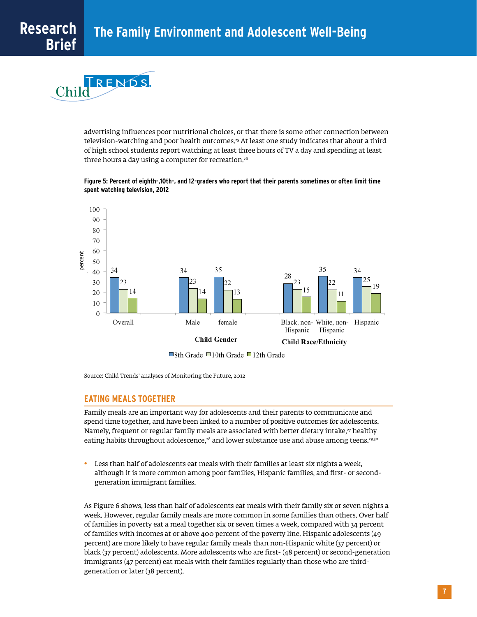$R$  F N D S  $\mathbb{C}\mathrm{hil}\bar{\mathrm{C}}$ 

> advertising influences poor nutritional choices, or that there is some other connection between television-watching and poor health outcomes.<sup>25</sup> At least one study indicates that about a third of high school students report watching at least three hours of TV a day and spending at least three hours a day using a computer for recreation.26

#### **Figure 5: Percent of eighth-,10th-, and 12-graders who report that their parents sometimes or often limit time spent watching television, 2012**



Source: Child Trends' analyses of Monitoring the Future, 2012

#### **EATING MEALS TOGETHER**

Family meals are an important way for adolescents and their parents to communicate and spend time together, and have been linked to a number of positive outcomes for adolescents. Namely, frequent or regular family meals are associated with better dietary intake,<sup>27</sup> healthy eating habits throughout adolescence,<sup>28</sup> and lower substance use and abuse among teens.<sup>29,30</sup>

Less than half of adolescents eat meals with their families at least six nights a week, • although it is more common among poor families, Hispanic families, and first- or secondgeneration immigrant families.

As Figure 6 shows, less than half of adolescents eat meals with their family six or seven nights a week. However, regular family meals are more common in some families than others. Over half of families in poverty eat a meal together six or seven times a week, compared with 34 percent of families with incomes at or above 400 percent of the poverty line. Hispanic adolescents (49 percent) are more likely to have regular family meals than non-Hispanic white (37 percent) or black (37 percent) adolescents. More adolescents who are first- (48 percent) or second-generation immigrants (47 percent) eat meals with their families regularly than those who are thirdgeneration or later (38 percent).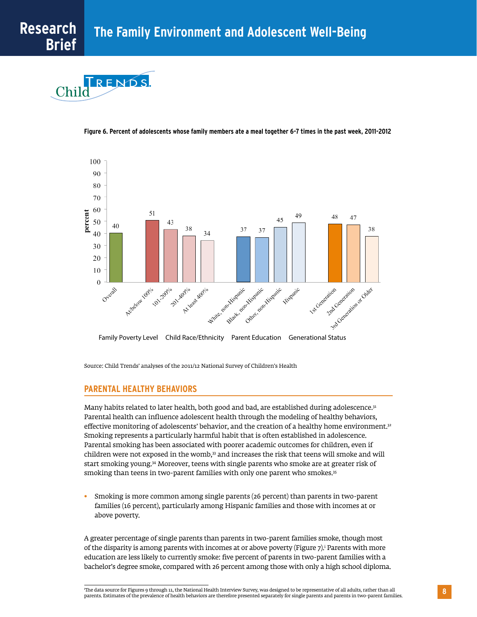



**Figure 6. Percent of adolescents whose family members ate a meal together 6-7 times in the past week, 2011-2012**

Source: Child Trends' analyses of the 2011/12 National Survey of Children's Health

#### **PARENTAL HEALTHY BEHAVIORS**

Many habits related to later health, both good and bad, are established during adolescence.<sup>31</sup> Parental health can influence adolescent health through the modeling of healthy behaviors, effective monitoring of adolescents' behavior, and the creation of a healthy home environment.<sup>32</sup> Smoking represents a particularly harmful habit that is often established in adolescence. Parental smoking has been associated with poorer academic outcomes for children, even if children were not exposed in the womb,<sup>33</sup> and increases the risk that teens will smoke and will start smoking young.<sup>34</sup> Moreover, teens with single parents who smoke are at greater risk of smoking than teens in two-parent families with only one parent who smokes.<sup>35</sup>

Smoking is more common among single parents (26 percent) than parents in two-parent families (16 percent), particularly among Hispanic families and those with incomes at or above poverty. •

A greater percentage of single parents than parents in two-parent families smoke, though most of the disparity is among parents with incomes at or above poverty (Figure 7).<sup>i</sup> Parents with more education are less likely to currently smoke: five percent of parents in two-parent families with a bachelor's degree smoke, compared with 26 percent among those with only a high school diploma.

i The data source for Figures 9 through 11, the National Health Interview Survey, was designed to be representative of all adults, rather than all parents. Estimates of the prevalence of health behaviors are therefore presented separately for single parents and parents in two-parent families.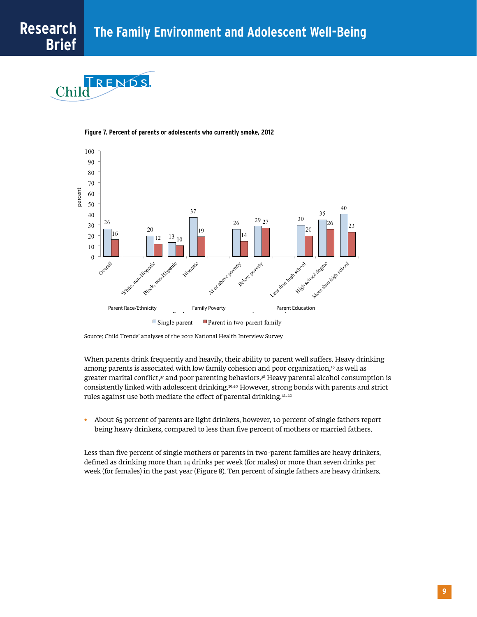$R$  F N D S Chilo





Source: Child Trends' analyses of the 2012 National Health Interview Survey

When parents drink frequently and heavily, their ability to parent well suffers. Heavy drinking among parents is associated with low family cohesion and poor organization,<sup>36</sup> as well as greater marital conflict, $37$  and poor parenting behaviors. $38$  Heavy parental alcohol consumption is consistently linked with adolescent drinking.39,40 However, strong bonds with parents and strict rules against use both mediate the effect of parental drinking.41, 42

About 65 percent of parents are light drinkers, however, 10 percent of single fathers report being heavy drinkers, compared to less than five percent of mothers or married fathers. •

Less than five percent of single mothers or parents in two-parent families are heavy drinkers, defined as drinking more than 14 drinks per week (for males) or more than seven drinks per week (for females) in the past year (Figure 8). Ten percent of single fathers are heavy drinkers.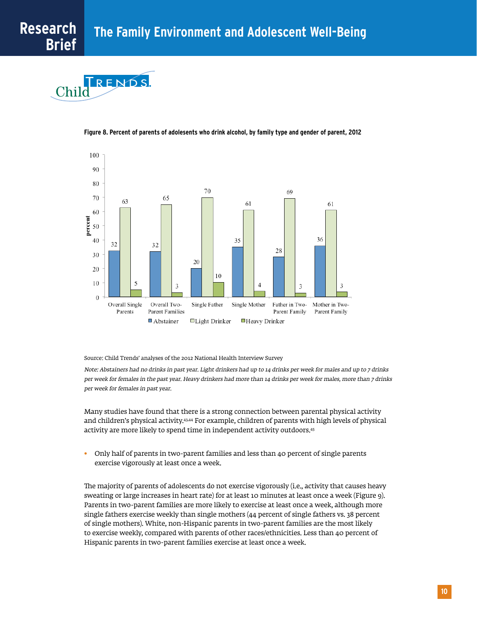



**Figure 8. Percent of parents of adolesents who drink alcohol, by family type and gender of parent, 2012**

Source: Child Trends' analyses of the 2012 National Health Interview Survey

Note: Abstainers had no drinks in past year. Light drinkers had up to 14 drinks per week for males and up to 7 drinks per week for females in the past year. Heavy drinkers had more than 14 drinks per week for males, more than 7 drinks per week for females in past year.

Many studies have found that there is a strong connection between parental physical activity and children's physical activity.43,44 For example, children of parents with high levels of physical activity are more likely to spend time in independent activity outdoors.45

Only half of parents in two-parent families and less than 40 percent of single parents exercise vigorously at least once a week. •

The majority of parents of adolescents do not exercise vigorously (i.e., activity that causes heavy sweating or large increases in heart rate) for at least 10 minutes at least once a week (Figure 9). Parents in two-parent families are more likely to exercise at least once a week, although more single fathers exercise weekly than single mothers (44 percent of single fathers vs. 38 percent of single mothers). White, non-Hispanic parents in two-parent families are the most likely to exercise weekly, compared with parents of other races/ethnicities. Less than 40 percent of Hispanic parents in two-parent families exercise at least once a week.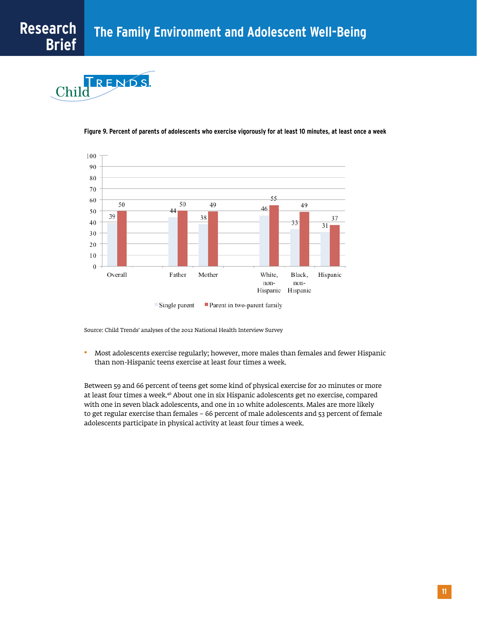





#### **Figure 9. Percent of parents of adolescents who exercise vigorously for at least 10 minutes, at least once a week**

```
Single parent
     Parent in two-parent family
```
Source: Child Trends' analyses of the 2012 National Health Interview Survey

Most adolescents exercise regularly; however, more males than females and fewer Hispanic than non-Hispanic teens exercise at least four times a week. •

Between 59 and 66 percent of teens get some kind of physical exercise for 20 minutes or more at least four times a week.46 About one in six Hispanic adolescents get no exercise, compared with one in seven black adolescents, and one in 10 white adolescents. Males are more likely to get regular exercise than females – 66 percent of male adolescents and 53 percent of female adolescents participate in physical activity at least four times a week.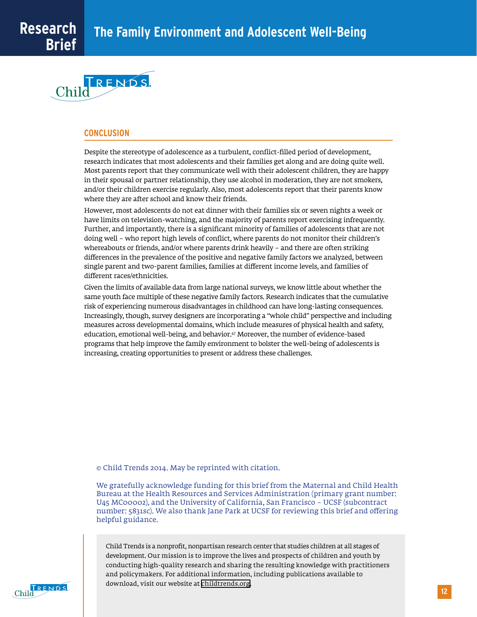

#### **CONCLUSION**

Despite the stereotype of adolescence as a turbulent, conflict-filled period of development, research indicates that most adolescents and their families get along and are doing quite well. Most parents report that they communicate well with their adolescent children, they are happy in their spousal or partner relationship, they use alcohol in moderation, they are not smokers, and/or their children exercise regularly. Also, most adolescents report that their parents know where they are after school and know their friends.

However, most adolescents do not eat dinner with their families six or seven nights a week or have limits on television-watching, and the majority of parents report exercising infrequently. Further, and importantly, there is a significant minority of families of adolescents that are not doing well – who report high levels of conflict, where parents do not monitor their children's whereabouts or friends, and/or where parents drink heavily – and there are often striking differences in the prevalence of the positive and negative family factors we analyzed, between single parent and two-parent families, families at different income levels, and families of different races/ethnicities.

Given the limits of available data from large national surveys, we know little about whether the same youth face multiple of these negative family factors. Research indicates that the cumulative risk of experiencing numerous disadvantages in childhood can have long-lasting consequences. Increasingly, though, survey designers are incorporating a "whole child" perspective and including measures across developmental domains, which include measures of physical health and safety, education, emotional well-being, and behavior.<sup>47</sup> Moreover, the number of evidence-based programs that help improve the family environment to bolster the well-being of adolescents is increasing, creating opportunities to present or address these challenges.

#### © Child Trends 2014. May be reprinted with citation.

We gratefully acknowledge funding for this brief from the Maternal and Child Health Bureau at the Health Resources and Services Administration (primary grant number: U45 MC00002), and the University of California, San Francisco – UCSF (subcontract number: 5831sc). We also thank Jane Park at UCSF for reviewing this brief and offering helpful guidance.

Child Trends is a nonprofit, nonpartisan research center that studies children at all stages of development. Our mission is to improve the lives and prospects of children and youth by conducting high-quality research and sharing the resulting knowledge with practitioners and policymakers. For additional information, including publications available to download, visit our website at childtrends.org.

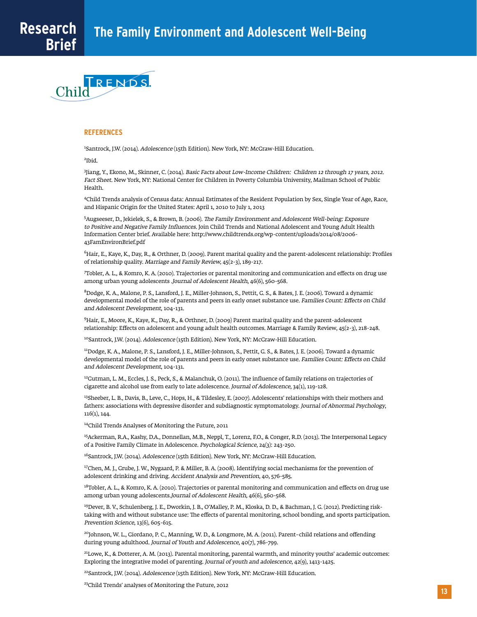

#### **REFERENCES**

1 Santrock, J.W. (2014). Adolescence (15th Edition). New York, NY: McGraw-Hill Education.

2 Ibid.

3 Jiang, Y., Ekono, M., Skinner, C. (2014). Basic Facts about Low-Income Children: Children 12 through 17 years, 2012. Fact Sheet. New York, NY: National Center for Children in Poverty Columbia University, Mailman School of Public Health.

4Child Trends analysis of Census data: Annual Estimates of the Resident Population by Sex, Single Year of Age, Race, and Hispanic Origin for the United States: April 1, 2010 to July 1, 2013

5 Augseeser, D., Jekielek, S., & Brown, B. (2006). The Family Environment and Adolescent Well-being: Exposure to Positive and Negative Family Influences. Join Child Trends and National Adolescent and Young Adult Health Information Center brief. Available here: http://www.childtrends.org/wp-content/uploads/2014/08/2006- 43FamEnvironBrief.pdf

6 Hair, E., Kaye, K., Day, R., & Orthner, D. (2009). Parent marital quality and the parent-adolescent relationship: Profiles of relationship quality. Marriage and Family Review, 45(2-3), 189-217.

7 Tobler, A. L., & Komro, K. A. (2010). Trajectories or parental monitoring and communication and effects on drug use among urban young adolescents .Journal of Adolescent Health, 46(6), 560-568.

8Dodge, K. A., Malone, P. S., Lansford, J. E., Miller-Johnson, S., Pettit, G. S., & Bates, J. E. (2006). Toward a dynamic developmental model of the role of parents and peers in early onset substance use. Families Count: Effects on Child and Adolescent Development, 104-131.

9 Hair, E., Moore, K., Kaye, K., Day, R., & Orthner, D. (2009) Parent marital quality and the parent-adolescent relationship: Effects on adolescent and young adult health outcomes. Marriage & Family Review, 45(2-3), 218-248.

<sup>10</sup>Santrock, J.W. (2014). Adolescence (15th Edition). New York, NY: McGraw-Hill Education.

11Dodge, K. A., Malone, P. S., Lansford, J. E., Miller-Johnson, S., Pettit, G. S., & Bates, J. E. (2006). Toward a dynamic developmental model of the role of parents and peers in early onset substance use. Families Count: Effects on Child and Adolescent Development, 104-131.

 $12$ Gutman, L. M., Eccles, J. S., Peck, S., & Malanchuk, O. (2011). The influence of family relations on trajectories of cigarette and alcohol use from early to late adolescence. Journal of Adolescence, 34(1), 119-128.

<sup>13</sup>Sheeber, L. B., Davis, B., Leve, C., Hops, H., & Tildesley, E. (2007). Adolescents' relationships with their mothers and fathers: associations with depressive disorder and subdiagnostic symptomatology. Journal of Abnormal Psychology, 116(1), 144.

14Child Trends Analyses of Monitoring the Future, 2011

<sup>15</sup>Ackerman, R.A., Kashy, D.A., Donnellan, M.B., Neppl, T., Lorenz, F.O., & Conger, R.D. (2013). The Interpersonal Legacy of a Positive Family Climate in Adolescence. Psychological Science, 24(3): 243-250.

<sup>16</sup>Santrock, J.W. (2014). *Adolescence* (15th Edition). New York, NY: McGraw-Hill Education.

<sup>17</sup>Chen, M. J., Grube, J. W., Nygaard, P. & Miller, B. A. (2008). Identifying social mechanisms for the prevention of adolescent drinking and driving. Accident Analysis and Prevention, 40, 576-585.

18Tobler, A. L., & Komro, K. A. (2010). Trajectories or parental monitoring and communication and effects on drug use among urban young adolescents.Journal of Adolescent Health, 46(6), 560-568.

<sup>19</sup>Dever, B. V., Schulenberg, J. E., Dworkin, J. B., O'Malley, P. M., Kloska, D. D., & Bachman, J. G. (2012). Predicting risktaking with and without substance use: The effects of parental monitoring, school bonding, and sports participation. Prevention Science, 13(6), 605-615.

<sup>20</sup>Johnson, W. L., Giordano, P. C., Manning, W. D., & Longmore, M. A. (2011). Parent-child relations and offending during young adulthood. Journal of Youth and Adolescence, 40(7), 786-799.

21Lowe, K., & Dotterer, A. M. (2013). Parental monitoring, parental warmth, and minority youths' academic outcomes: Exploring the integrative model of parenting. Journal of youth and adolescence, 42(9), 1413-1425.

<sup>22</sup>Santrock, J.W. (2014). Adolescence (15th Edition). New York, NY: McGraw-Hill Education.

<sup>23</sup>Child Trends' analyses of Monitoring the Future, 2012